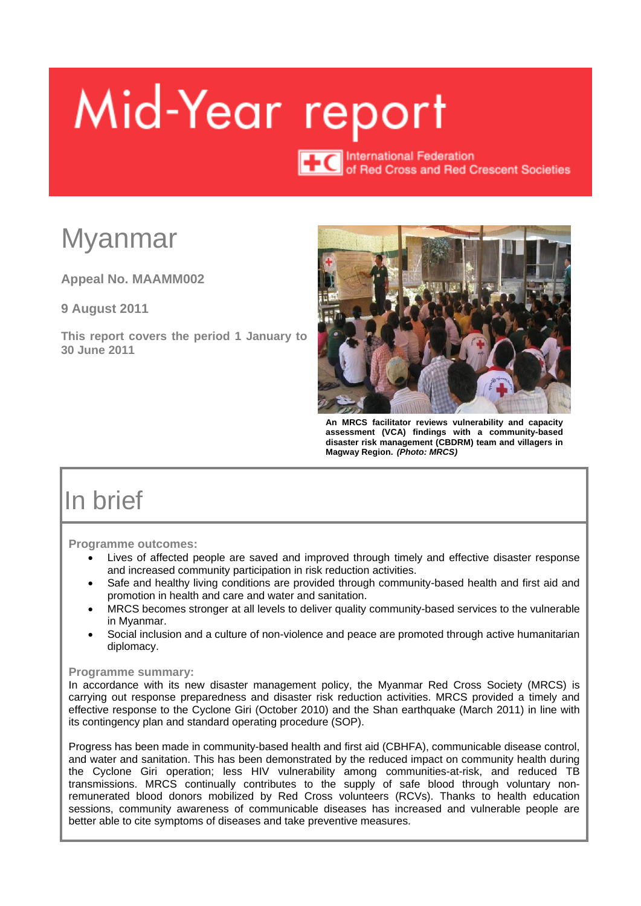# <span id="page-0-0"></span>Mid-Year report

**TTC** International Federation<br>of Red Cross and Red Crescent Societies

# Myanmar

**Appeal No. MAAMM002**

**9 August 2011**

**This report covers the period 1 January to 30 June 2011**



**An MRCS facilitator reviews vulnerability and capacity assessment (VCA) findings with a community-based disaster risk management (CBDRM) team and villagers in Magway Region.** *(Photo: MRCS)*

# In brief

**Programme outcomes:** 

- Lives of affected people are saved and improved through timely and effective disaster response and increased community participation in risk reduction activities.
- Safe and healthy living conditions are provided through community-based health and first aid and promotion in health and care and water and sanitation.
- MRCS becomes stronger at all levels to deliver quality community-based services to the vulnerable in Myanmar.
- Social inclusion and a culture of non-violence and peace are promoted through active humanitarian diplomacy.

#### **Programme summary:**

In accordance with its new disaster management policy, the Myanmar Red Cross Society (MRCS) is carrying out response preparedness and disaster risk reduction activities. MRCS provided a timely and effective response to the Cyclone Giri (October 2010) and the Shan earthquake (March 2011) in line with its contingency plan and standard operating procedure (SOP).

Progress has been made in community-based health and first aid (CBHFA), communicable disease control, and water and sanitation. This has been demonstrated by the reduced impact on community health during the Cyclone Giri operation; less HIV vulnerability among communities-at-risk, and reduced TB transmissions. MRCS continually contributes to the supply of safe blood through voluntary nonremunerated blood donors mobilized by Red Cross volunteers (RCVs). Thanks to health education sessions, community awareness of communicable diseases has increased and vulnerable people are better able to cite symptoms of diseases and take preventive measures.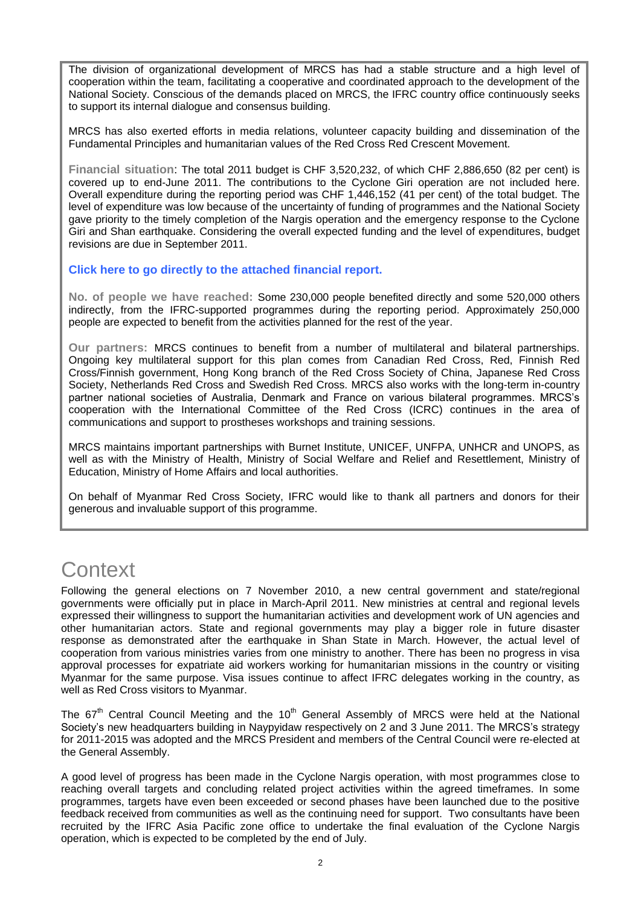The division of organizational development of MRCS has had a stable structure and a high level of cooperation within the team, facilitating a cooperative and coordinated approach to the development of the National Society. Conscious of the demands placed on MRCS, the IFRC country office continuously seeks to support its internal dialogue and consensus building.

MRCS has also exerted efforts in media relations, volunteer capacity building and dissemination of the Fundamental Principles and humanitarian values of the Red Cross Red Crescent Movement.

**Financial situation**: The total 2011 budget is CHF 3,520,232, of which CHF 2,886,650 (82 per cent) is covered up to end-June 2011. The contributions to the Cyclone Giri operation are not included here. Overall expenditure during the reporting period was CHF 1,446,152 (41 per cent) of the total budget. The level of expenditure was low because of the uncertainty of funding of programmes and the National Society gave priority to the timely completion of the Nargis operation and the emergency response to the Cyclone Giri and Shan earthquake. Considering the overall expected funding and the level of expenditures, budget revisions are due in September 2011.

#### **[Click here to go directly to the attached financial report.](#page-13-0)**

**No. of people we have reached:** Some 230,000 people benefited directly and some 520,000 others indirectly, from the IFRC-supported programmes during the reporting period. Approximately 250,000 people are expected to benefit from the activities planned for the rest of the year.

**Our partners:** MRCS continues to benefit from a number of multilateral and bilateral partnerships. Ongoing key multilateral support for this plan comes from Canadian Red Cross, Red, Finnish Red Cross/Finnish government, Hong Kong branch of the Red Cross Society of China, Japanese Red Cross Society, Netherlands Red Cross and Swedish Red Cross. MRCS also works with the long-term in-country partner national societies of Australia, Denmark and France on various bilateral programmes. MRCS's cooperation with the International Committee of the Red Cross (ICRC) continues in the area of communications and support to prostheses workshops and training sessions.

MRCS maintains important partnerships with Burnet Institute, UNICEF, UNFPA, UNHCR and UNOPS, as well as with the Ministry of Health, Ministry of Social Welfare and Relief and Resettlement, Ministry of Education, Ministry of Home Affairs and local authorities.

On behalf of Myanmar Red Cross Society, IFRC would like to thank all partners and donors for their generous and invaluable support of this programme.

# **Context**

Following the general elections on 7 November 2010, a new central government and state/regional governments were officially put in place in March-April 2011. New ministries at central and regional levels expressed their willingness to support the humanitarian activities and development work of UN agencies and other humanitarian actors. State and regional governments may play a bigger role in future disaster response as demonstrated after the earthquake in Shan State in March. However, the actual level of cooperation from various ministries varies from one ministry to another. There has been no progress in visa approval processes for expatriate aid workers working for humanitarian missions in the country or visiting Myanmar for the same purpose. Visa issues continue to affect IFRC delegates working in the country, as well as Red Cross visitors to Myanmar.

The  $67<sup>th</sup>$  Central Council Meeting and the  $10<sup>th</sup>$  General Assembly of MRCS were held at the National Society's new headquarters building in Naypyidaw respectively on 2 and 3 June 2011. The MRCS's strategy for 2011-2015 was adopted and the MRCS President and members of the Central Council were re-elected at the General Assembly.

A good level of progress has been made in the Cyclone Nargis operation, with most programmes close to reaching overall targets and concluding related project activities within the agreed timeframes. In some programmes, targets have even been exceeded or second phases have been launched due to the positive feedback received from communities as well as the continuing need for support. Two consultants have been recruited by the IFRC Asia Pacific zone office to undertake the final evaluation of the Cyclone Nargis operation, which is expected to be completed by the end of July.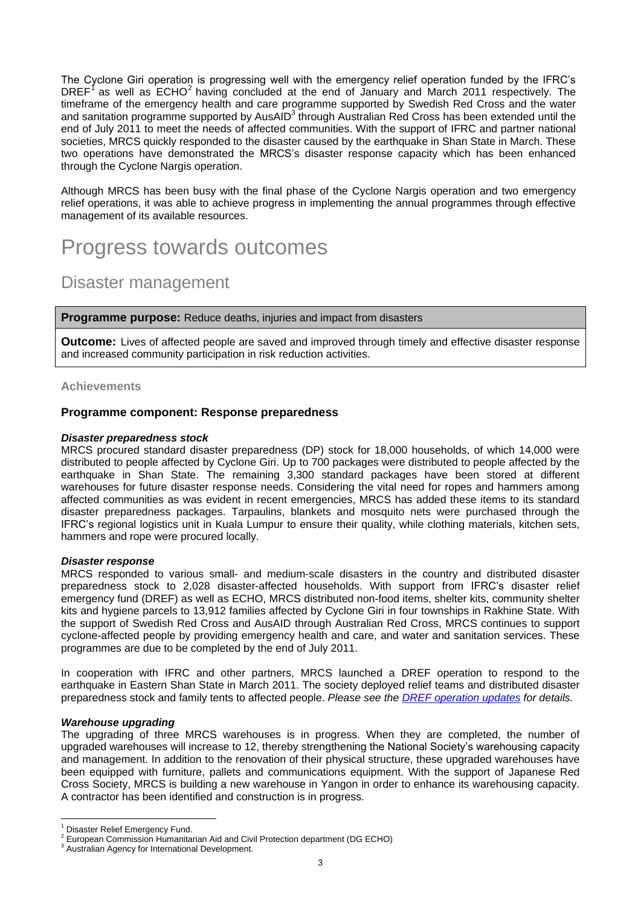The Cyclone Giri operation is progressing well with the emergency relief operation funded by the IFRC's DREF<sup>1</sup> as well as ECHO<sup>2</sup> having concluded at the end of January and March 2011 respectively. The timeframe of the emergency health and care programme supported by Swedish Red Cross and the water and sanitation programme supported by AusAID<sup>3</sup> through Australian Red Cross has been extended until the end of July 2011 to meet the needs of affected communities. With the support of IFRC and partner national societies, MRCS quickly responded to the disaster caused by the earthquake in Shan State in March. These two operations have demonstrated the MRCS's disaster response capacity which has been enhanced through the Cyclone Nargis operation.

Although MRCS has been busy with the final phase of the Cyclone Nargis operation and two emergency relief operations, it was able to achieve progress in implementing the annual programmes through effective management of its available resources.

# Progress towards outcomes

## Disaster management

**Programme purpose:** Reduce deaths, injuries and impact from disasters

**Outcome:** Lives of affected people are saved and improved through timely and effective disaster response and increased community participation in risk reduction activities.

#### **Achievements**

#### **Programme component: Response preparedness**

#### *Disaster preparedness stock*

MRCS procured standard disaster preparedness (DP) stock for 18,000 households, of which 14,000 were distributed to people affected by Cyclone Giri. Up to 700 packages were distributed to people affected by the earthquake in Shan State. The remaining 3,300 standard packages have been stored at different warehouses for future disaster response needs. Considering the vital need for ropes and hammers among affected communities as was evident in recent emergencies, MRCS has added these items to its standard disaster preparedness packages. Tarpaulins, blankets and mosquito nets were purchased through the IFRC's regional logistics unit in Kuala Lumpur to ensure their quality, while clothing materials, kitchen sets, hammers and rope were procured locally.

#### *Disaster response*

MRCS responded to various small- and medium-scale disasters in the country and distributed disaster preparedness stock to 2,028 disaster-affected households. With support from IFRC's disaster relief emergency fund (DREF) as well as ECHO, MRCS distributed non-food items, shelter kits, community shelter kits and hygiene parcels to 13,912 families affected by Cyclone Giri in four townships in Rakhine State. With the support of Swedish Red Cross and AusAID through Australian Red Cross, MRCS continues to support cyclone-affected people by providing emergency health and care, and water and sanitation services. These programmes are due to be completed by the end of July 2011.

In cooperation with IFRC and other partners, MRCS launched a DREF operation to respond to the earthquake in Eastern Shan State in March 2011. The society deployed relief teams and distributed disaster preparedness stock and family tents to affected people. *Please see the [DREF operation updates](http://www.ifrc.org/en/publications-and-reports/appeals/?ac=MDRMM004&at=&c=&co=MM&f=&r=&t=&ti=) for details.*

#### *Warehouse upgrading*

The upgrading of three MRCS warehouses is in progress. When they are completed, the number of upgraded warehouses will increase to 12, thereby strengthening the National Society's warehousing capacity and management. In addition to the renovation of their physical structure, these upgraded warehouses have been equipped with furniture, pallets and communications equipment. With the support of Japanese Red Cross Society, MRCS is building a new warehouse in Yangon in order to enhance its warehousing capacity. A contractor has been identified and construction is in progress.

<sup>&</sup>lt;sup>1</sup> Disaster Relief Emergency Fund.<br><sup>2</sup> European Commission Uumanite

European Commission Humanitarian Aid and Civil Protection department (DG ECHO)

 $3$  Australian Agency for International Development.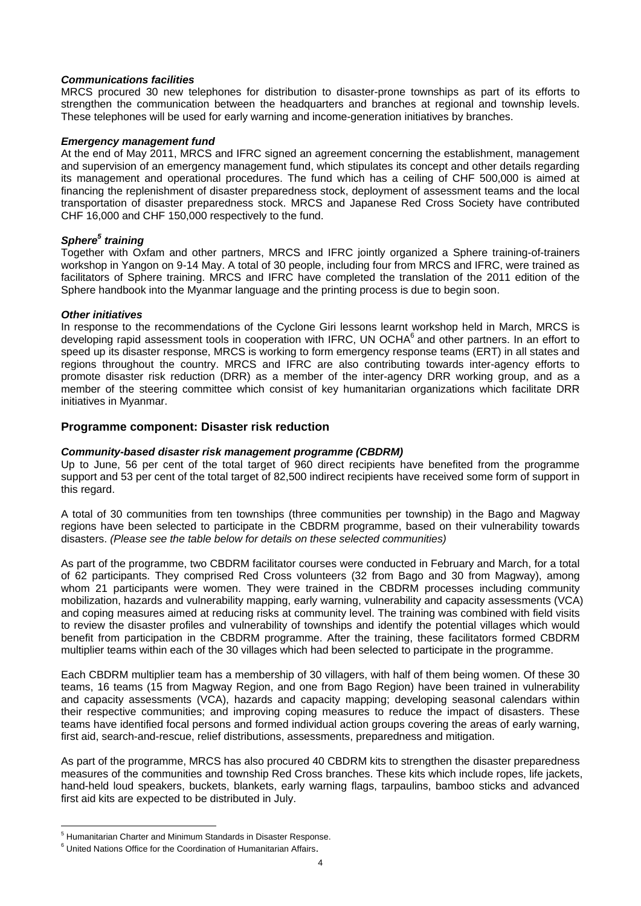#### *Communications facilities*

MRCS procured 30 new telephones for distribution to disaster-prone townships as part of its efforts to strengthen the communication between the headquarters and branches at regional and township levels. These telephones will be used for early warning and income-generation initiatives by branches.

#### *Emergency management fund*

At the end of May 2011, MRCS and IFRC signed an agreement concerning the establishment, management and supervision of an emergency management fund, which stipulates its concept and other details regarding its management and operational procedures. The fund which has a ceiling of CHF 500,000 is aimed at financing the replenishment of disaster preparedness stock, deployment of assessment teams and the local transportation of disaster preparedness stock. MRCS and Japanese Red Cross Society have contributed CHF 16,000 and CHF 150,000 respectively to the fund.

#### *Sphere<sup>5</sup> training*

Together with Oxfam and other partners, MRCS and IFRC jointly organized a Sphere training-of-trainers workshop in Yangon on 9-14 May. A total of 30 people, including four from MRCS and IFRC, were trained as facilitators of Sphere training. MRCS and IFRC have completed the translation of the 2011 edition of the Sphere handbook into the Myanmar language and the printing process is due to begin soon.

#### *Other initiatives*

In response to the recommendations of the Cyclone Giri lessons learnt workshop held in March, MRCS is developing rapid assessment tools in cooperation with IFRC, UN OCHA<sup>6</sup> and other partners. In an effort to speed up its disaster response, MRCS is working to form emergency response teams (ERT) in all states and regions throughout the country. MRCS and IFRC are also contributing towards inter-agency efforts to promote disaster risk reduction (DRR) as a member of the inter-agency DRR working group, and as a member of the steering committee which consist of key humanitarian organizations which facilitate DRR initiatives in Myanmar.

#### **Programme component: Disaster risk reduction**

#### *Community-based disaster risk management programme (CBDRM)*

Up to June, 56 per cent of the total target of 960 direct recipients have benefited from the programme support and 53 per cent of the total target of 82,500 indirect recipients have received some form of support in this regard.

A total of 30 communities from ten townships (three communities per township) in the Bago and Magway regions have been selected to participate in the CBDRM programme, based on their vulnerability towards disasters. *(Please see the table below for details on these selected communities)*

As part of the programme, two CBDRM facilitator courses were conducted in February and March, for a total of 62 participants. They comprised Red Cross volunteers (32 from Bago and 30 from Magway), among whom 21 participants were women. They were trained in the CBDRM processes including community mobilization, hazards and vulnerability mapping, early warning, vulnerability and capacity assessments (VCA) and coping measures aimed at reducing risks at community level. The training was combined with field visits to review the disaster profiles and vulnerability of townships and identify the potential villages which would benefit from participation in the CBDRM programme. After the training, these facilitators formed CBDRM multiplier teams within each of the 30 villages which had been selected to participate in the programme.

Each CBDRM multiplier team has a membership of 30 villagers, with half of them being women. Of these 30 teams, 16 teams (15 from Magway Region, and one from Bago Region) have been trained in vulnerability and capacity assessments (VCA), hazards and capacity mapping; developing seasonal calendars within their respective communities; and improving coping measures to reduce the impact of disasters. These teams have identified focal persons and formed individual action groups covering the areas of early warning, first aid, search-and-rescue, relief distributions, assessments, preparedness and mitigation.

As part of the programme, MRCS has also procured 40 CBDRM kits to strengthen the disaster preparedness measures of the communities and township Red Cross branches. These kits which include ropes, life jackets, hand-held loud speakers, buckets, blankets, early warning flags, tarpaulins, bamboo sticks and advanced first aid kits are expected to be distributed in July.

<sup>5</sup> Humanitarian Charter and Minimum Standards in Disaster Response.

 $6$  United Nations Office for the Coordination of Humanitarian Affairs.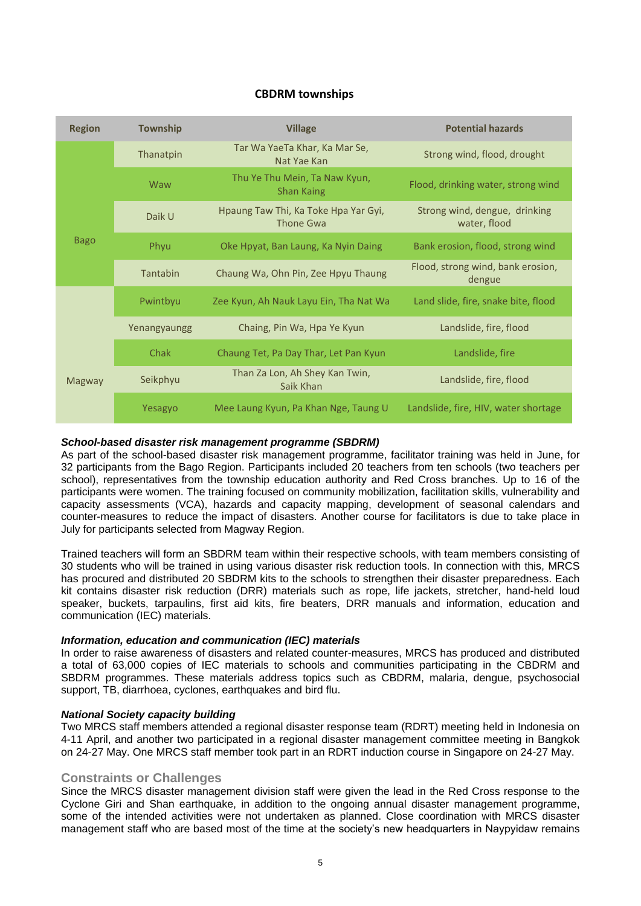#### **CBDRM townships**

| <b>Region</b> | <b>Township</b> | <b>Village</b>                                     | <b>Potential hazards</b>                      |  |  |  |
|---------------|-----------------|----------------------------------------------------|-----------------------------------------------|--|--|--|
|               | Thanatpin       | Tar Wa YaeTa Khar, Ka Mar Se,<br>Nat Yae Kan       | Strong wind, flood, drought                   |  |  |  |
|               | Waw             | Thu Ye Thu Mein, Ta Naw Kyun,<br><b>Shan Kaing</b> | Flood, drinking water, strong wind            |  |  |  |
| <b>Bago</b>   | Daik U          | Hpaung Taw Thi, Ka Toke Hpa Yar Gyi,<br>Thone Gwa  | Strong wind, dengue, drinking<br>water, flood |  |  |  |
|               | Phyu            | Oke Hpyat, Ban Laung, Ka Nyin Daing                | Bank erosion, flood, strong wind              |  |  |  |
|               | Tantabin        | Chaung Wa, Ohn Pin, Zee Hpyu Thaung                | Flood, strong wind, bank erosion,<br>dengue   |  |  |  |
|               | Pwintbyu        | Zee Kyun, Ah Nauk Layu Ein, Tha Nat Wa             | Land slide, fire, snake bite, flood           |  |  |  |
|               | Yenangyaungg    | Chaing, Pin Wa, Hpa Ye Kyun                        | Landslide, fire, flood                        |  |  |  |
| Magway        | <b>Chak</b>     | Chaung Tet, Pa Day Thar, Let Pan Kyun              | Landslide, fire                               |  |  |  |
|               | Seikphyu        | Than Za Lon, Ah Shey Kan Twin,<br>Saik Khan        | Landslide, fire, flood                        |  |  |  |
|               | Yesagyo         | Mee Laung Kyun, Pa Khan Nge, Taung U               | Landslide, fire, HIV, water shortage          |  |  |  |

#### *School-based disaster risk management programme (SBDRM)*

As part of the school-based disaster risk management programme, facilitator training was held in June, for 32 participants from the Bago Region. Participants included 20 teachers from ten schools (two teachers per school), representatives from the township education authority and Red Cross branches. Up to 16 of the participants were women. The training focused on community mobilization, facilitation skills, vulnerability and capacity assessments (VCA), hazards and capacity mapping, development of seasonal calendars and counter-measures to reduce the impact of disasters. Another course for facilitators is due to take place in July for participants selected from Magway Region.

Trained teachers will form an SBDRM team within their respective schools, with team members consisting of 30 students who will be trained in using various disaster risk reduction tools. In connection with this, MRCS has procured and distributed 20 SBDRM kits to the schools to strengthen their disaster preparedness. Each kit contains disaster risk reduction (DRR) materials such as rope, life jackets, stretcher, hand-held loud speaker, buckets, tarpaulins, first aid kits, fire beaters, DRR manuals and information, education and communication (IEC) materials.

#### *Information, education and communication (IEC) materials*

In order to raise awareness of disasters and related counter-measures, MRCS has produced and distributed a total of 63,000 copies of IEC materials to schools and communities participating in the CBDRM and SBDRM programmes. These materials address topics such as CBDRM, malaria, dengue, psychosocial support, TB, diarrhoea, cyclones, earthquakes and bird flu.

#### *National Society capacity building*

Two MRCS staff members attended a regional disaster response team (RDRT) meeting held in Indonesia on 4-11 April, and another two participated in a regional disaster management committee meeting in Bangkok on 24-27 May. One MRCS staff member took part in an RDRT induction course in Singapore on 24-27 May.

#### **Constraints or Challenges**

Since the MRCS disaster management division staff were given the lead in the Red Cross response to the Cyclone Giri and Shan earthquake, in addition to the ongoing annual disaster management programme, some of the intended activities were not undertaken as planned. Close coordination with MRCS disaster management staff who are based most of the time at the society's new headquarters in Naypyidaw remains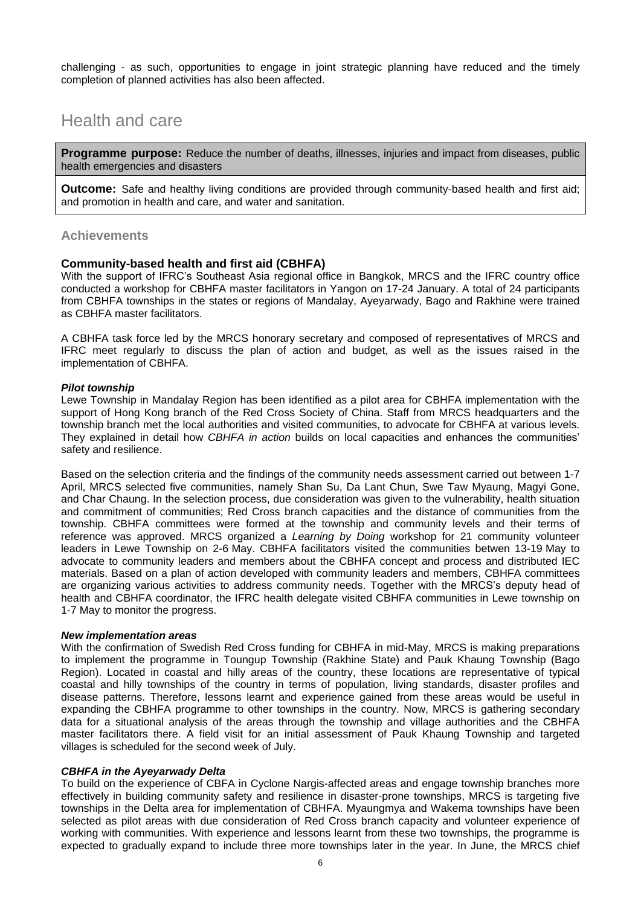challenging - as such, opportunities to engage in joint strategic planning have reduced and the timely completion of planned activities has also been affected.

# Health and care

**Programme purpose:** Reduce the number of deaths, illnesses, injuries and impact from diseases, public health emergencies and disasters

**Outcome:** Safe and healthy living conditions are provided through community-based health and first aid; and promotion in health and care, and water and sanitation.

#### **Achievements**

#### **Community-based health and first aid (CBHFA)**

With the support of IFRC's Southeast Asia regional office in Bangkok, MRCS and the IFRC country office conducted a workshop for CBHFA master facilitators in Yangon on 17-24 January. A total of 24 participants from CBHFA townships in the states or regions of Mandalay, Ayeyarwady, Bago and Rakhine were trained as CBHFA master facilitators.

A CBHFA task force led by the MRCS honorary secretary and composed of representatives of MRCS and IFRC meet regularly to discuss the plan of action and budget, as well as the issues raised in the implementation of CBHFA.

#### *Pilot township*

Lewe Township in Mandalay Region has been identified as a pilot area for CBHFA implementation with the support of Hong Kong branch of the Red Cross Society of China. Staff from MRCS headquarters and the township branch met the local authorities and visited communities, to advocate for CBHFA at various levels. They explained in detail how *CBHFA in action* builds on local capacities and enhances the communities' safety and resilience.

Based on the selection criteria and the findings of the community needs assessment carried out between 1-7 April, MRCS selected five communities, namely Shan Su, Da Lant Chun, Swe Taw Myaung, Magyi Gone, and Char Chaung. In the selection process, due consideration was given to the vulnerability, health situation and commitment of communities; Red Cross branch capacities and the distance of communities from the township. CBHFA committees were formed at the township and community levels and their terms of reference was approved. MRCS organized a *Learning by Doing* workshop for 21 community volunteer leaders in Lewe Township on 2-6 May. CBHFA facilitators visited the communities betwen 13-19 May to advocate to community leaders and members about the CBHFA concept and process and distributed IEC materials. Based on a plan of action developed with community leaders and members, CBHFA committees are organizing various activities to address community needs. Together with the MRCS's deputy head of health and CBHFA coordinator, the IFRC health delegate visited CBHFA communities in Lewe township on 1-7 May to monitor the progress.

#### *New implementation areas*

With the confirmation of Swedish Red Cross funding for CBHFA in mid-May, MRCS is making preparations to implement the programme in Toungup Township (Rakhine State) and Pauk Khaung Township (Bago Region). Located in coastal and hilly areas of the country, these locations are representative of typical coastal and hilly townships of the country in terms of population, living standards, disaster profiles and disease patterns. Therefore, lessons learnt and experience gained from these areas would be useful in expanding the CBHFA programme to other townships in the country. Now, MRCS is gathering secondary data for a situational analysis of the areas through the township and village authorities and the CBHFA master facilitators there. A field visit for an initial assessment of Pauk Khaung Township and targeted villages is scheduled for the second week of July.

#### *CBHFA in the Ayeyarwady Delta*

To build on the experience of CBFA in Cyclone Nargis-affected areas and engage township branches more effectively in building community safety and resilience in disaster-prone townships, MRCS is targeting five townships in the Delta area for implementation of CBHFA. Myaungmya and Wakema townships have been selected as pilot areas with due consideration of Red Cross branch capacity and volunteer experience of working with communities. With experience and lessons learnt from these two townships, the programme is expected to gradually expand to include three more townships later in the year. In June, the MRCS chief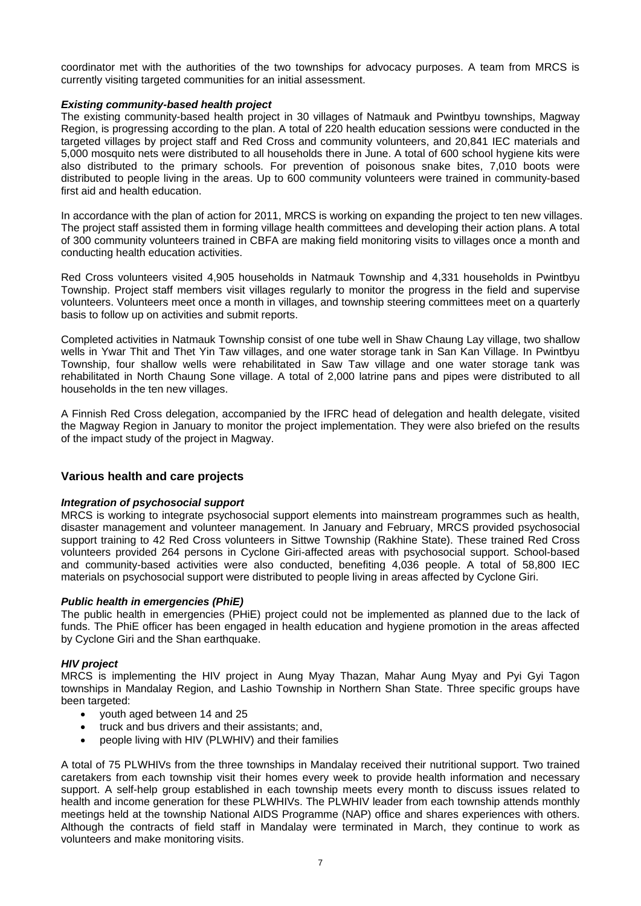coordinator met with the authorities of the two townships for advocacy purposes. A team from MRCS is currently visiting targeted communities for an initial assessment.

#### *Existing community-based health project*

The existing community-based health project in 30 villages of Natmauk and Pwintbyu townships, Magway Region, is progressing according to the plan. A total of 220 health education sessions were conducted in the targeted villages by project staff and Red Cross and community volunteers, and 20,841 IEC materials and 5,000 mosquito nets were distributed to all households there in June. A total of 600 school hygiene kits were also distributed to the primary schools. For prevention of poisonous snake bites, 7,010 boots were distributed to people living in the areas. Up to 600 community volunteers were trained in community-based first aid and health education.

In accordance with the plan of action for 2011, MRCS is working on expanding the project to ten new villages. The project staff assisted them in forming village health committees and developing their action plans. A total of 300 community volunteers trained in CBFA are making field monitoring visits to villages once a month and conducting health education activities.

Red Cross volunteers visited 4,905 households in Natmauk Township and 4,331 households in Pwintbyu Township. Project staff members visit villages regularly to monitor the progress in the field and supervise volunteers. Volunteers meet once a month in villages, and township steering committees meet on a quarterly basis to follow up on activities and submit reports.

Completed activities in Natmauk Township consist of one tube well in Shaw Chaung Lay village, two shallow wells in Ywar Thit and Thet Yin Taw villages, and one water storage tank in San Kan Village. In Pwintbyu Township, four shallow wells were rehabilitated in Saw Taw village and one water storage tank was rehabilitated in North Chaung Sone village. A total of 2,000 latrine pans and pipes were distributed to all households in the ten new villages.

A Finnish Red Cross delegation, accompanied by the IFRC head of delegation and health delegate, visited the Magway Region in January to monitor the project implementation. They were also briefed on the results of the impact study of the project in Magway.

#### **Various health and care projects**

#### *Integration of psychosocial support*

MRCS is working to integrate psychosocial support elements into mainstream programmes such as health, disaster management and volunteer management. In January and February, MRCS provided psychosocial support training to 42 Red Cross volunteers in Sittwe Township (Rakhine State). These trained Red Cross volunteers provided 264 persons in Cyclone Giri-affected areas with psychosocial support. School-based and community-based activities were also conducted, benefiting 4,036 people. A total of 58,800 IEC materials on psychosocial support were distributed to people living in areas affected by Cyclone Giri.

#### *Public health in emergencies (PhiE)*

The public health in emergencies (PHiE) project could not be implemented as planned due to the lack of funds. The PhiE officer has been engaged in health education and hygiene promotion in the areas affected by Cyclone Giri and the Shan earthquake.

#### *HIV project*

MRCS is implementing the HIV project in Aung Myay Thazan, Mahar Aung Myay and Pyi Gyi Tagon townships in Mandalay Region, and Lashio Township in Northern Shan State. Three specific groups have been targeted:

- youth aged between 14 and 25
- truck and bus drivers and their assistants; and,
- people living with HIV (PLWHIV) and their families

A total of 75 PLWHIVs from the three townships in Mandalay received their nutritional support. Two trained caretakers from each township visit their homes every week to provide health information and necessary support. A self-help group established in each township meets every month to discuss issues related to health and income generation for these PLWHIVs. The PLWHIV leader from each township attends monthly meetings held at the township National AIDS Programme (NAP) office and shares experiences with others. Although the contracts of field staff in Mandalay were terminated in March, they continue to work as volunteers and make monitoring visits.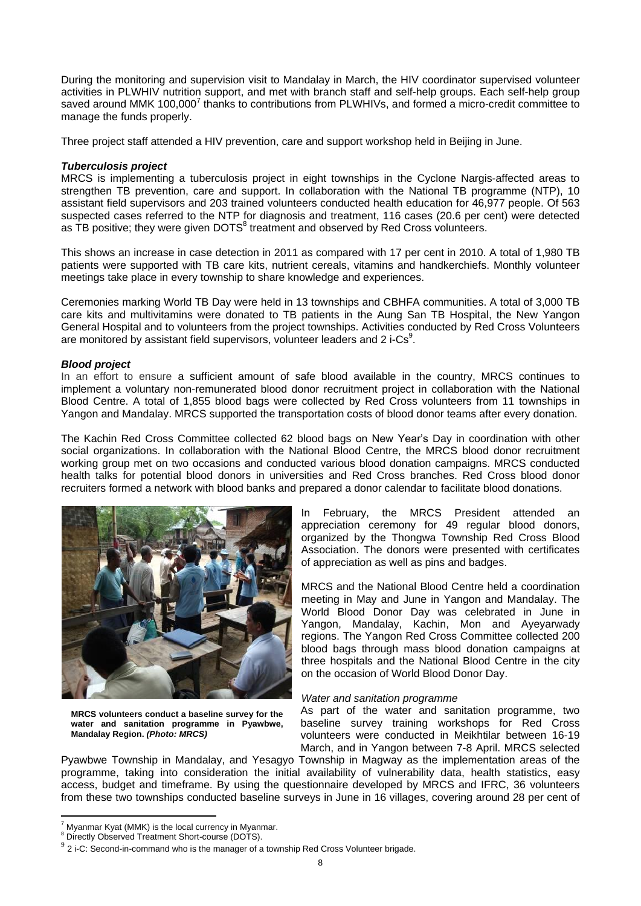During the monitoring and supervision visit to Mandalay in March, the HIV coordinator supervised volunteer activities in PLWHIV nutrition support, and met with branch staff and self-help groups. Each self-help group saved around MMK 100,000<sup>7</sup> thanks to contributions from PLWHIVs, and formed a micro-credit committee to manage the funds properly.

Three project staff attended a HIV prevention, care and support workshop held in Beijing in June.

#### *Tuberculosis project*

MRCS is implementing a tuberculosis project in eight townships in the Cyclone Nargis-affected areas to strengthen TB prevention, care and support. In collaboration with the National TB programme (NTP), 10 assistant field supervisors and 203 trained volunteers conducted health education for 46,977 people. Of 563 suspected cases referred to the NTP for diagnosis and treatment, 116 cases (20.6 per cent) were detected as TB positive; they were given DOTS $^8$  treatment and observed by Red Cross volunteers.

This shows an increase in case detection in 2011 as compared with 17 per cent in 2010. A total of 1,980 TB patients were supported with TB care kits, nutrient cereals, vitamins and handkerchiefs. Monthly volunteer meetings take place in every township to share knowledge and experiences.

Ceremonies marking World TB Day were held in 13 townships and CBHFA communities. A total of 3,000 TB care kits and multivitamins were donated to TB patients in the Aung San TB Hospital, the New Yangon General Hospital and to volunteers from the project townships. Activities conducted by Red Cross Volunteers are monitored by assistant field supervisors, volunteer leaders and 2 i-Cs<sup>9</sup>.

#### *Blood project*

In an effort to ensure a sufficient amount of safe blood available in the country, MRCS continues to implement a voluntary non-remunerated blood donor recruitment project in collaboration with the National Blood Centre. A total of 1,855 blood bags were collected by Red Cross volunteers from 11 townships in Yangon and Mandalay. MRCS supported the transportation costs of blood donor teams after every donation.

The Kachin Red Cross Committee collected 62 blood bags on New Year's Day in coordination with other social organizations. In collaboration with the National Blood Centre, the MRCS blood donor recruitment working group met on two occasions and conducted various blood donation campaigns. MRCS conducted health talks for potential blood donors in universities and Red Cross branches. Red Cross blood donor recruiters formed a network with blood banks and prepared a donor calendar to facilitate blood donations.



**MRCS volunteers conduct a baseline survey for the water and sanitation programme in Pyawbwe, Mandalay Region.** *(Photo: MRCS)*

In February, the MRCS President attended an appreciation ceremony for 49 regular blood donors, organized by the Thongwa Township Red Cross Blood Association. The donors were presented with certificates of appreciation as well as pins and badges.

MRCS and the National Blood Centre held a coordination meeting in May and June in Yangon and Mandalay. The World Blood Donor Day was celebrated in June in Yangon, Mandalay, Kachin, Mon and Ayeyarwady regions. The Yangon Red Cross Committee collected 200 blood bags through mass blood donation campaigns at three hospitals and the National Blood Centre in the city on the occasion of World Blood Donor Day.

#### *Water and sanitation programme*

As part of the water and sanitation programme, two baseline survey training workshops for Red Cross volunteers were conducted in Meikhtilar between 16-19 March, and in Yangon between 7-8 April. MRCS selected

Pyawbwe Township in Mandalay, and Yesagyo Township in Magway as the implementation areas of the programme, taking into consideration the initial availability of vulnerability data, health statistics, easy access, budget and timeframe. By using the questionnaire developed by MRCS and IFRC, 36 volunteers from these two townships conducted baseline surveys in June in 16 villages, covering around 28 per cent of

<sup>7</sup> Myanmar Kyat (MMK) is the local currency in Myanmar.

<sup>8</sup> Directly Observed Treatment Short-course (DOTS).

 $9^{9}$  2 i-C: Second-in-command who is the manager of a township Red Cross Volunteer brigade.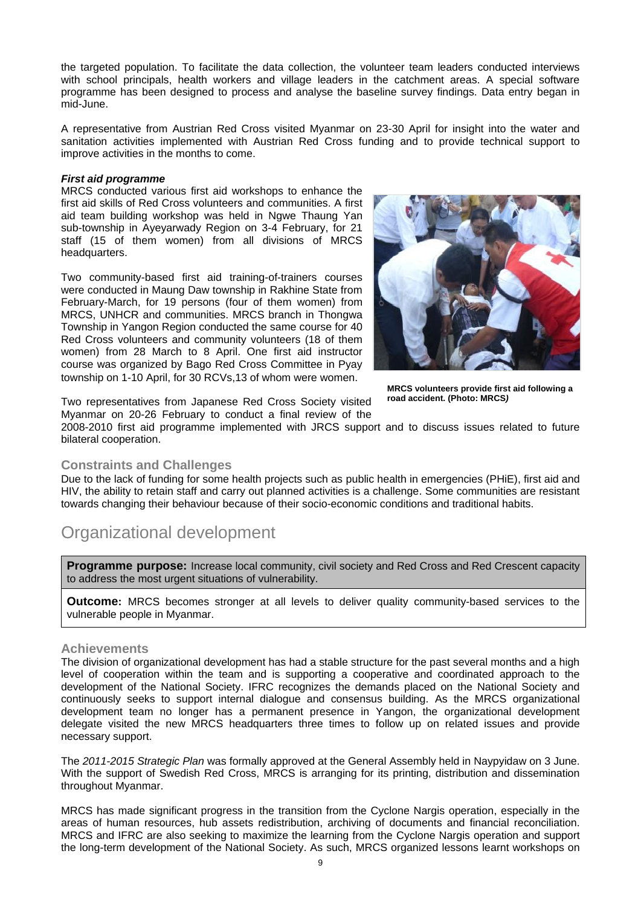the targeted population. To facilitate the data collection, the volunteer team leaders conducted interviews with school principals, health workers and village leaders in the catchment areas. A special software programme has been designed to process and analyse the baseline survey findings. Data entry began in mid-June.

A representative from Austrian Red Cross visited Myanmar on 23-30 April for insight into the water and sanitation activities implemented with Austrian Red Cross funding and to provide technical support to improve activities in the months to come.

#### *First aid programme*

MRCS conducted various first aid workshops to enhance the first aid skills of Red Cross volunteers and communities. A first aid team building workshop was held in Ngwe Thaung Yan sub-township in Ayeyarwady Region on 3-4 February, for 21 staff (15 of them women) from all divisions of MRCS headquarters.

Two community-based first aid training-of-trainers courses were conducted in Maung Daw township in Rakhine State from February-March, for 19 persons (four of them women) from MRCS, UNHCR and communities. MRCS branch in Thongwa Township in Yangon Region conducted the same course for 40 Red Cross volunteers and community volunteers (18 of them women) from 28 March to 8 April. One first aid instructor course was organized by Bago Red Cross Committee in Pyay township on 1-10 April, for 30 RCVs,13 of whom were women.



**MRCS volunteers provide first aid following a road accident. (Photo: MRCS***)*

Two representatives from Japanese Red Cross Society visited Myanmar on 20-26 February to conduct a final review of the

2008-2010 first aid programme implemented with JRCS support and to discuss issues related to future bilateral cooperation.

#### **Constraints and Challenges**

Due to the lack of funding for some health projects such as public health in emergencies (PHiE), first aid and HIV, the ability to retain staff and carry out planned activities is a challenge. Some communities are resistant towards changing their behaviour because of their socio-economic conditions and traditional habits.

# Organizational development

**Programme purpose:** Increase local community, civil society and Red Cross and Red Crescent capacity to address the most urgent situations of vulnerability.

**Outcome:** MRCS becomes stronger at all levels to deliver quality community-based services to the vulnerable people in Myanmar.

#### **Achievements**

The division of organizational development has had a stable structure for the past several months and a high level of cooperation within the team and is supporting a cooperative and coordinated approach to the development of the National Society. IFRC recognizes the demands placed on the National Society and continuously seeks to support internal dialogue and consensus building. As the MRCS organizational development team no longer has a permanent presence in Yangon, the organizational development delegate visited the new MRCS headquarters three times to follow up on related issues and provide necessary support.

The *2011-2015 Strategic Plan* was formally approved at the General Assembly held in Naypyidaw on 3 June. With the support of Swedish Red Cross, MRCS is arranging for its printing, distribution and dissemination throughout Myanmar.

MRCS has made significant progress in the transition from the Cyclone Nargis operation, especially in the areas of human resources, hub assets redistribution, archiving of documents and financial reconciliation. MRCS and IFRC are also seeking to maximize the learning from the Cyclone Nargis operation and support the long-term development of the National Society. As such, MRCS organized lessons learnt workshops on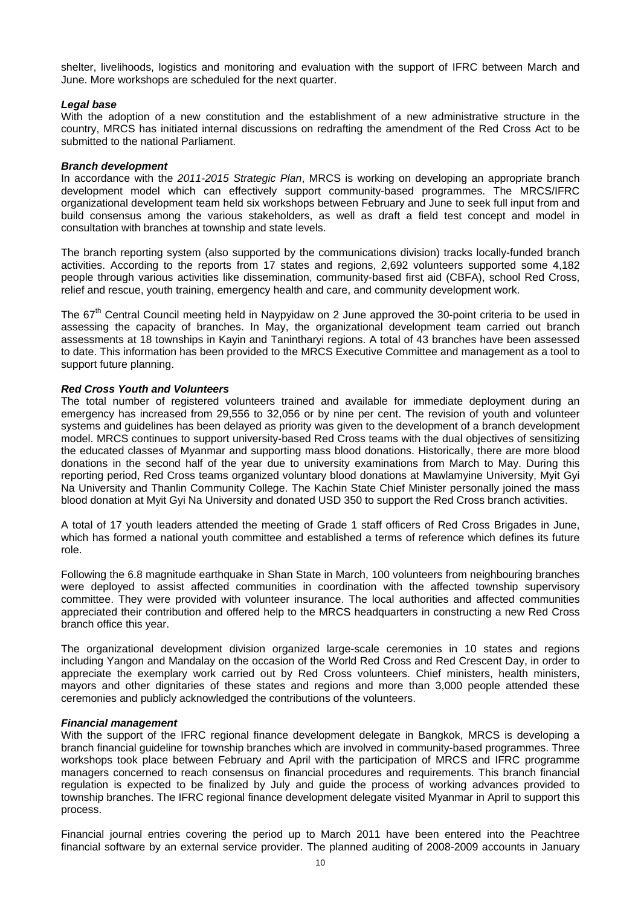shelter, livelihoods, logistics and monitoring and evaluation with the support of IFRC between March and June. More workshops are scheduled for the next quarter.

#### *Legal base*

With the adoption of a new constitution and the establishment of a new administrative structure in the country, MRCS has initiated internal discussions on redrafting the amendment of the Red Cross Act to be submitted to the national Parliament.

#### *Branch development*

In accordance with the *2011-2015 Strategic Plan*, MRCS is working on developing an appropriate branch development model which can effectively support community-based programmes. The MRCS/IFRC organizational development team held six workshops between February and June to seek full input from and build consensus among the various stakeholders, as well as draft a field test concept and model in consultation with branches at township and state levels.

The branch reporting system (also supported by the communications division) tracks locally-funded branch activities. According to the reports from 17 states and regions, 2,692 volunteers supported some 4,182 people through various activities like dissemination, community-based first aid (CBFA), school Red Cross, relief and rescue, youth training, emergency health and care, and community development work.

The 67<sup>th</sup> Central Council meeting held in Naypyidaw on 2 June approved the 30-point criteria to be used in assessing the capacity of branches. In May, the organizational development team carried out branch assessments at 18 townships in Kayin and Tanintharyi regions. A total of 43 branches have been assessed to date. This information has been provided to the MRCS Executive Committee and management as a tool to support future planning.

#### *Red Cross Youth and Volunteers*

The total number of registered volunteers trained and available for immediate deployment during an emergency has increased from 29,556 to 32,056 or by nine per cent. The revision of youth and volunteer systems and guidelines has been delayed as priority was given to the development of a branch development model. MRCS continues to support university-based Red Cross teams with the dual objectives of sensitizing the educated classes of Myanmar and supporting mass blood donations. Historically, there are more blood donations in the second half of the year due to university examinations from March to May. During this reporting period, Red Cross teams organized voluntary blood donations at Mawlamyine University, Myit Gyi Na University and Thanlin Community College. The Kachin State Chief Minister personally joined the mass blood donation at Myit Gyi Na University and donated USD 350 to support the Red Cross branch activities.

A total of 17 youth leaders attended the meeting of Grade 1 staff officers of Red Cross Brigades in June, which has formed a national youth committee and established a terms of reference which defines its future role.

Following the 6.8 magnitude earthquake in Shan State in March, 100 volunteers from neighbouring branches were deployed to assist affected communities in coordination with the affected township supervisory committee. They were provided with volunteer insurance. The local authorities and affected communities appreciated their contribution and offered help to the MRCS headquarters in constructing a new Red Cross branch office this year.

The organizational development division organized large-scale ceremonies in 10 states and regions including Yangon and Mandalay on the occasion of the World Red Cross and Red Crescent Day, in order to appreciate the exemplary work carried out by Red Cross volunteers. Chief ministers, health ministers, mayors and other dignitaries of these states and regions and more than 3,000 people attended these ceremonies and publicly acknowledged the contributions of the volunteers.

#### *Financial management*

With the support of the IFRC regional finance development delegate in Bangkok, MRCS is developing a branch financial guideline for township branches which are involved in community-based programmes. Three workshops took place between February and April with the participation of MRCS and IFRC programme managers concerned to reach consensus on financial procedures and requirements. This branch financial regulation is expected to be finalized by July and guide the process of working advances provided to township branches. The IFRC regional finance development delegate visited Myanmar in April to support this process.

Financial journal entries covering the period up to March 2011 have been entered into the Peachtree financial software by an external service provider. The planned auditing of 2008-2009 accounts in January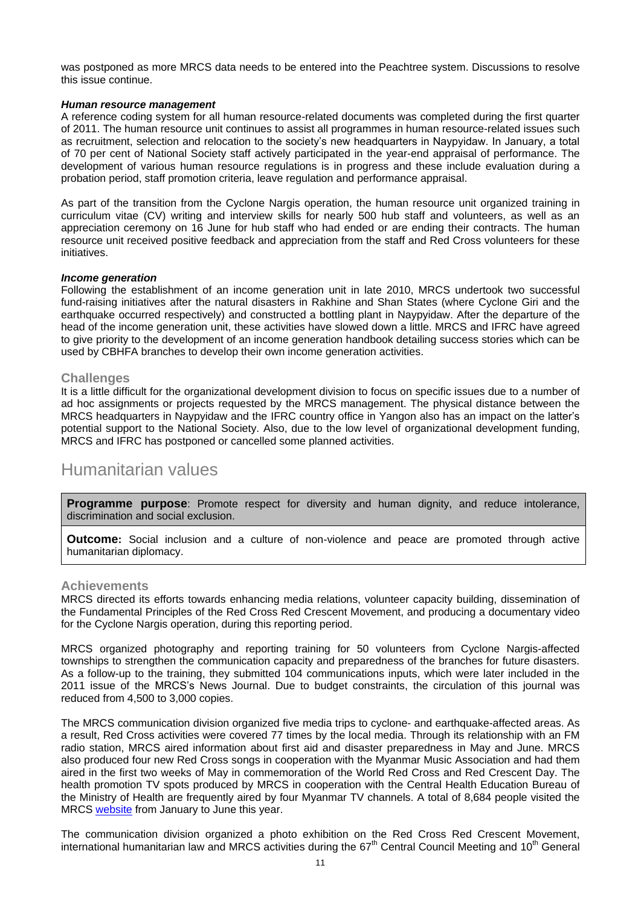was postponed as more MRCS data needs to be entered into the Peachtree system. Discussions to resolve this issue continue.

#### *Human resource management*

A reference coding system for all human resource-related documents was completed during the first quarter of 2011. The human resource unit continues to assist all programmes in human resource-related issues such as recruitment, selection and relocation to the society's new headquarters in Naypyidaw. In January, a total of 70 per cent of National Society staff actively participated in the year-end appraisal of performance. The development of various human resource regulations is in progress and these include evaluation during a probation period, staff promotion criteria, leave regulation and performance appraisal.

As part of the transition from the Cyclone Nargis operation, the human resource unit organized training in curriculum vitae (CV) writing and interview skills for nearly 500 hub staff and volunteers, as well as an appreciation ceremony on 16 June for hub staff who had ended or are ending their contracts. The human resource unit received positive feedback and appreciation from the staff and Red Cross volunteers for these initiatives.

#### *Income generation*

Following the establishment of an income generation unit in late 2010, MRCS undertook two successful fund-raising initiatives after the natural disasters in Rakhine and Shan States (where Cyclone Giri and the earthquake occurred respectively) and constructed a bottling plant in Naypyidaw. After the departure of the head of the income generation unit, these activities have slowed down a little. MRCS and IFRC have agreed to give priority to the development of an income generation handbook detailing success stories which can be used by CBHFA branches to develop their own income generation activities.

#### **Challenges**

It is a little difficult for the organizational development division to focus on specific issues due to a number of ad hoc assignments or projects requested by the MRCS management. The physical distance between the MRCS headquarters in Naypyidaw and the IFRC country office in Yangon also has an impact on the latter's potential support to the National Society. Also, due to the low level of organizational development funding, MRCS and IFRC has postponed or cancelled some planned activities.

### Humanitarian values

**Programme purpose**: Promote respect for diversity and human dignity, and reduce intolerance, discrimination and social exclusion.

**Outcome:** Social inclusion and a culture of non-violence and peace are promoted through active humanitarian diplomacy.

#### **Achievements**

MRCS directed its efforts towards enhancing media relations, volunteer capacity building, dissemination of the Fundamental Principles of the Red Cross Red Crescent Movement, and producing a documentary video for the Cyclone Nargis operation, during this reporting period.

MRCS organized photography and reporting training for 50 volunteers from Cyclone Nargis-affected townships to strengthen the communication capacity and preparedness of the branches for future disasters. As a follow-up to the training, they submitted 104 communications inputs, which were later included in the 2011 issue of the MRCS's News Journal. Due to budget constraints, the circulation of this journal was reduced from 4,500 to 3,000 copies.

The MRCS communication division organized five media trips to cyclone- and earthquake-affected areas. As a result, Red Cross activities were covered 77 times by the local media. Through its relationship with an FM radio station, MRCS aired information about first aid and disaster preparedness in May and June. MRCS also produced four new Red Cross songs in cooperation with the Myanmar Music Association and had them aired in the first two weeks of May in commemoration of the World Red Cross and Red Crescent Day. The health promotion TV spots produced by MRCS in cooperation with the Central Health Education Bureau of the Ministry of Health are frequently aired by four Myanmar TV channels. A total of 8,684 people visited the MRCS [website](http://www.myanmarredcross.org.mm/) from January to June this year.

The communication division organized a photo exhibition on the Red Cross Red Crescent Movement, international humanitarian law and MRCS activities during the 67<sup>th</sup> Central Council Meeting and 10<sup>th</sup> General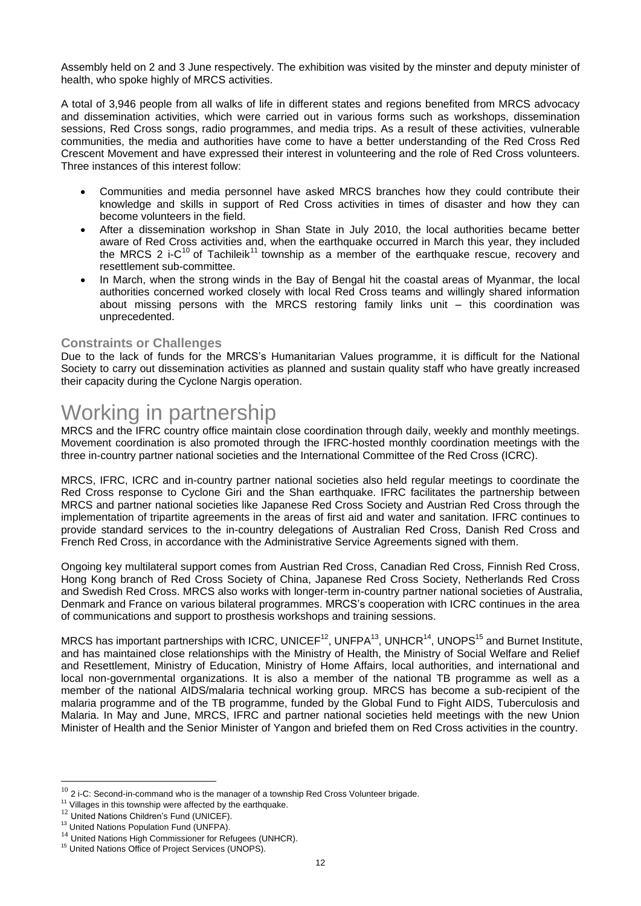Assembly held on 2 and 3 June respectively. The exhibition was visited by the minster and deputy minister of health, who spoke highly of MRCS activities.

A total of 3,946 people from all walks of life in different states and regions benefited from MRCS advocacy and dissemination activities, which were carried out in various forms such as workshops, dissemination sessions, Red Cross songs, radio programmes, and media trips. As a result of these activities, vulnerable communities, the media and authorities have come to have a better understanding of the Red Cross Red Crescent Movement and have expressed their interest in volunteering and the role of Red Cross volunteers. Three instances of this interest follow:

- Communities and media personnel have asked MRCS branches how they could contribute their knowledge and skills in support of Red Cross activities in times of disaster and how they can become volunteers in the field.
- After a dissemination workshop in Shan State in July 2010, the local authorities became better aware of Red Cross activities and, when the earthquake occurred in March this year, they included the MRCS 2 i-C<sup>10</sup> of Tachileik<sup>11</sup> township as a member of the earthquake rescue, recovery and resettlement sub-committee.
- In March, when the strong winds in the Bay of Bengal hit the coastal areas of Myanmar, the local authorities concerned worked closely with local Red Cross teams and willingly shared information about missing persons with the MRCS restoring family links unit – this coordination was unprecedented.

#### **Constraints or Challenges**

Due to the lack of funds for the MRCS's Humanitarian Values programme, it is difficult for the National Society to carry out dissemination activities as planned and sustain quality staff who have greatly increased their capacity during the Cyclone Nargis operation.

# Working in partnership

MRCS and the IFRC country office maintain close coordination through daily, weekly and monthly meetings. Movement coordination is also promoted through the IFRC-hosted monthly coordination meetings with the three in-country partner national societies and the International Committee of the Red Cross (ICRC).

MRCS, IFRC, ICRC and in-country partner national societies also held regular meetings to coordinate the Red Cross response to Cyclone Giri and the Shan earthquake. IFRC facilitates the partnership between MRCS and partner national societies like Japanese Red Cross Society and Austrian Red Cross through the implementation of tripartite agreements in the areas of first aid and water and sanitation. IFRC continues to provide standard services to the in-country delegations of Australian Red Cross, Danish Red Cross and French Red Cross, in accordance with the Administrative Service Agreements signed with them.

Ongoing key multilateral support comes from Austrian Red Cross, Canadian Red Cross, Finnish Red Cross, Hong Kong branch of Red Cross Society of China, Japanese Red Cross Society, Netherlands Red Cross and Swedish Red Cross. MRCS also works with longer-term in-country partner national societies of Australia, Denmark and France on various bilateral programmes. MRCS's cooperation with ICRC continues in the area of communications and support to prosthesis workshops and training sessions.

MRCS has important partnerships with ICRC, UNICEF<sup>12</sup>, UNFPA<sup>13</sup>, UNHCR<sup>14</sup>, UNOPS<sup>15</sup> and Burnet Institute, and has maintained close relationships with the Ministry of Health, the Ministry of Social Welfare and Relief and Resettlement, Ministry of Education, Ministry of Home Affairs, local authorities, and international and local non-governmental organizations. It is also a member of the national TB programme as well as a member of the national AIDS/malaria technical working group. MRCS has become a sub-recipient of the malaria programme and of the TB programme, funded by the Global Fund to Fight AIDS, Tuberculosis and Malaria. In May and June, MRCS, IFRC and partner national societies held meetings with the new Union Minister of Health and the Senior Minister of Yangon and briefed them on Red Cross activities in the country.

 $10$  2 i-C: Second-in-command who is the manager of a township Red Cross Volunteer brigade.

<sup>&</sup>lt;sup>11</sup> Villages in this township were affected by the earthquake.

<sup>&</sup>lt;sup>12</sup> United Nations Children's Fund (UNICEF).

<sup>&</sup>lt;sup>13</sup> United Nations Population Fund (UNFPA).

 $^{14}$  United Nations High Commissioner for Refugees (UNHCR).

<sup>&</sup>lt;sup>15</sup> United Nations Office of Project Services (UNOPS).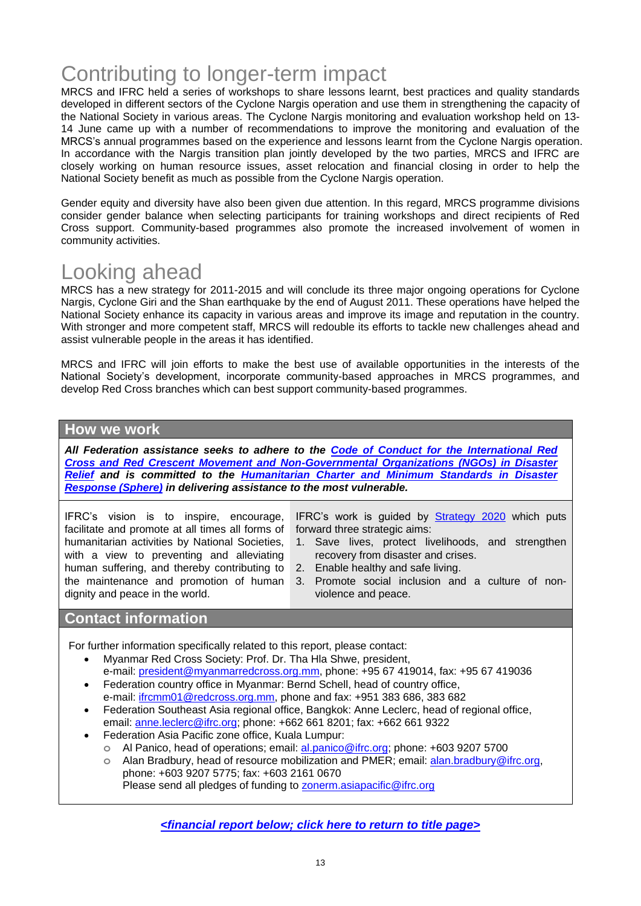# Contributing to longer-term impact

MRCS and IFRC held a series of workshops to share lessons learnt, best practices and quality standards developed in different sectors of the Cyclone Nargis operation and use them in strengthening the capacity of the National Society in various areas. The Cyclone Nargis monitoring and evaluation workshop held on 13- 14 June came up with a number of recommendations to improve the monitoring and evaluation of the MRCS's annual programmes based on the experience and lessons learnt from the Cyclone Nargis operation. In accordance with the Nargis transition plan jointly developed by the two parties, MRCS and IFRC are closely working on human resource issues, asset relocation and financial closing in order to help the National Society benefit as much as possible from the Cyclone Nargis operation.

Gender equity and diversity have also been given due attention. In this regard, MRCS programme divisions consider gender balance when selecting participants for training workshops and direct recipients of Red Cross support. Community-based programmes also promote the increased involvement of women in community activities.

# Looking ahead

MRCS has a new strategy for 2011-2015 and will conclude its three major ongoing operations for Cyclone Nargis, Cyclone Giri and the Shan earthquake by the end of August 2011. These operations have helped the National Society enhance its capacity in various areas and improve its image and reputation in the country. With stronger and more competent staff, MRCS will redouble its efforts to tackle new challenges ahead and assist vulnerable people in the areas it has identified.

MRCS and IFRC will join efforts to make the best use of available opportunities in the interests of the National Society's development, incorporate community-based approaches in MRCS programmes, and develop Red Cross branches which can best support community-based programmes.

#### **How we work**

*All Federation assistance seeks to adhere to the [Code of Conduct for the International Red](http://www.ifrc.org/publicat/code.asp)  [Cross and Red Crescent Movement and Non-Governmental Organizations \(NGOs\) in Disaster](http://www.ifrc.org/publicat/code.asp)  [Relief](http://www.ifrc.org/publicat/code.asp) and is committed to the [Humanitarian Charter and Minimum Standards in Disaster](http://www.sphereproject.org/)  [Response](http://www.sphereproject.org/) (Sphere) in delivering assistance to the most vulnerable.*

IFRC's vision is to inspire, encourage, facilitate and promote at all times all forms of humanitarian activities by National Societies, with a view to preventing and alleviating human suffering, and thereby contributing to the maintenance and promotion of human dignity and peace in the world.

IFRC's work is guided by **Strategy 2020** which puts forward three strategic aims:

- 1. Save lives, protect livelihoods, and strengthen recovery from disaster and crises.
- 2. Enable healthy and safe living.
- 3. Promote social inclusion and a culture of nonviolence and peace.

### **Contact information**

For further information specifically related to this report, please contact:

- Myanmar Red Cross Society: Prof. Dr. Tha Hla Shwe, president, e-mail: [president@myanmarredcross.org.mm,](mailto:president@myanmarredcross.org.mm) phone: +95 67 419014, fax: +95 67 419036
- Federation country office in Myanmar: Bernd Schell, head of country office, e-mail: [ifrcmm01@redcross.org.mm,](mailto:ifrcmm01@redcross.org.mm) phone and fax: +951 383 686, 383 682
- Federation Southeast Asia regional office, Bangkok: Anne Leclerc, head of regional office, email: [anne.leclerc@ifrc.org;](mailto:anne.leclerc@ifrc.org) phone: +662 661 8201; fax: +662 661 9322
- Federation Asia Pacific zone office, Kuala Lumpur:
	- **o** Al Panico, head of operations; email[: al.panico@ifrc.org;](mailto:al.panico@ifrc.org) phone: +603 9207 5700
		- **o** Alan Bradbury, head of resource mobilization and PMER; email: [alan.bradbury@ifrc.org,](mailto:alan.bradbury@ifrc.org) phone: +603 9207 5775; fax: +603 2161 0670 Please send all pledges of funding to [zonerm.asiapacific@ifrc.org](mailto:zonerm.asiapacific@ifrc.org)

*<financial report below; [click here to return to title page>](#page-0-0)*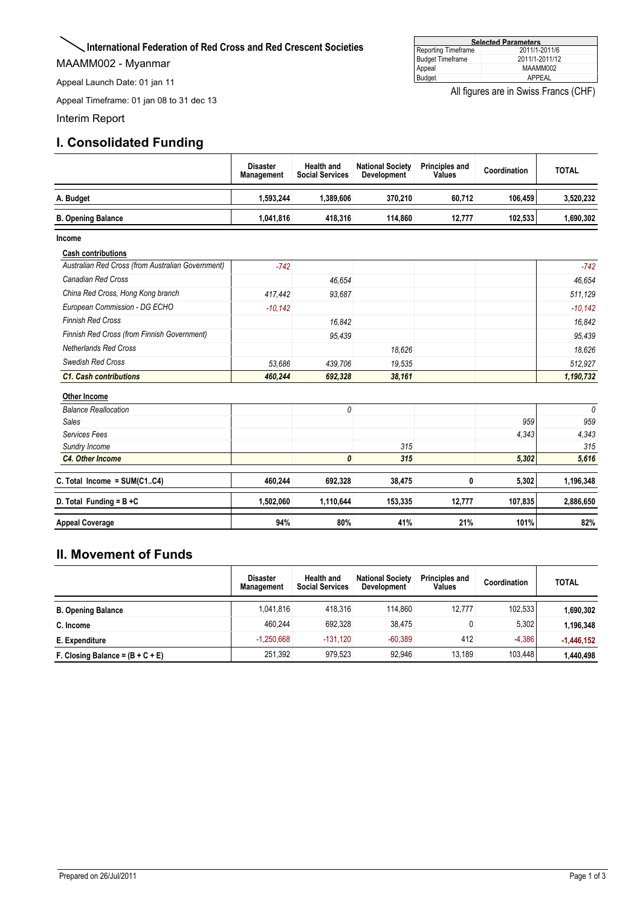#### <span id="page-13-0"></span>**International Federation of Red Cross and Red Crescent Societies**

MAAMM002 - Myanmar

Appeal Launch Date: 01 jan 11

Appeal Timeframe: 01 jan 08 to 31 dec 13

Interim Report

### **I. Consolidated Funding**

|                         | All figures are in Swiss Francs (CHF) |
|-------------------------|---------------------------------------|
| Budget                  | APPEAL                                |
| Appeal                  | MAAMM002                              |
| <b>Budget Timeframe</b> | 2011/1-2011/12                        |

**Selected Parameters** Reporting Timeframe 2011/1-2011/6

|                                                    | <b>Disaster</b><br>Management | <b>Health and</b><br><b>Social Services</b> | <b>National Society</b><br><b>Development</b> | <b>Principles and</b><br>Values | Coordination | <b>TOTAL</b> |
|----------------------------------------------------|-------------------------------|---------------------------------------------|-----------------------------------------------|---------------------------------|--------------|--------------|
| A. Budget                                          | 1,593,244                     | 1,389,606                                   | 370.210                                       | 60.712                          | 106.459      | 3,520,232    |
| <b>B. Opening Balance</b>                          | 1,041,816                     | 418,316                                     | 114,860                                       | 12,777                          | 102,533      | 1,690,302    |
| Income                                             |                               |                                             |                                               |                                 |              |              |
| <b>Cash contributions</b>                          |                               |                                             |                                               |                                 |              |              |
| Australian Red Cross (from Australian Government)  | $-742$                        |                                             |                                               |                                 |              | $-742$       |
| Canadian Red Cross                                 |                               | 46.654                                      |                                               |                                 |              | 46.654       |
| China Red Cross, Hong Kong branch                  | 417,442                       | 93,687                                      |                                               |                                 |              | 511,129      |
| European Commission - DG ECHO                      | $-10,142$                     |                                             |                                               |                                 |              | $-10,142$    |
| <b>Finnish Red Cross</b>                           |                               | 16,842                                      |                                               |                                 |              | 16,842       |
| <b>Finnish Red Cross (from Finnish Government)</b> |                               | 95,439                                      |                                               |                                 |              | 95,439       |
| <b>Netherlands Red Cross</b>                       |                               |                                             | 18,626                                        |                                 |              | 18,626       |
| <b>Swedish Red Cross</b>                           | 53.686                        | 439.706                                     | 19,535                                        |                                 |              | 512.927      |
| <b>C1. Cash contributions</b>                      | 460,244                       | 692,328                                     | 38,161                                        |                                 |              | 1,190,732    |
| Other Income                                       |                               |                                             |                                               |                                 |              |              |
| <b>Balance Reallocation</b>                        |                               | 0                                           |                                               |                                 |              | $\theta$     |
| <b>Sales</b>                                       |                               |                                             |                                               |                                 | 959          | 959          |
| Services Fees                                      |                               |                                             |                                               |                                 | 4,343        | 4,343        |
| Sundry Income                                      |                               |                                             | 315                                           |                                 |              | 315          |
| <b>C4. Other Income</b>                            |                               | 0                                           | 315                                           |                                 | 5,302        | 5,616        |
| C. Total Income = $SUM(C1C4)$                      | 460,244                       | 692,328                                     | 38,475                                        | 0                               | 5,302        | 1,196,348    |
| D. Total Funding = $B + C$                         | 1,502,060                     | 1,110,644                                   | 153,335                                       | 12,777                          | 107,835      | 2,886,650    |
| <b>Appeal Coverage</b>                             | 94%                           | 80%                                         | 41%                                           | 21%                             | 101%         | 82%          |

### **II. Movement of Funds**

|                                    | <b>Disaster</b><br><b>Management</b> | <b>Health and</b><br><b>Social Services</b> | <b>National Society</b><br><b>Development</b> | <b>Principles and</b><br>Values | Coordination | <b>TOTAL</b> |
|------------------------------------|--------------------------------------|---------------------------------------------|-----------------------------------------------|---------------------------------|--------------|--------------|
| <b>B. Opening Balance</b>          | 1.041.816                            | 418.316                                     | 114.860                                       | 12.777                          | 102.533      | 1,690,302    |
| C. Income                          | 460.244                              | 692.328                                     | 38.475                                        |                                 | 5,302        | 1,196,348    |
| E. Expenditure                     | $-1.250.668$                         | $-131.120$                                  | $-60.389$                                     | 412                             | $-4.386$     | $-1,446,152$ |
| F. Closing Balance = $(B + C + E)$ | 251.392                              | 979.523                                     | 92.946                                        | 13.189                          | 103.448      | 1.440.498    |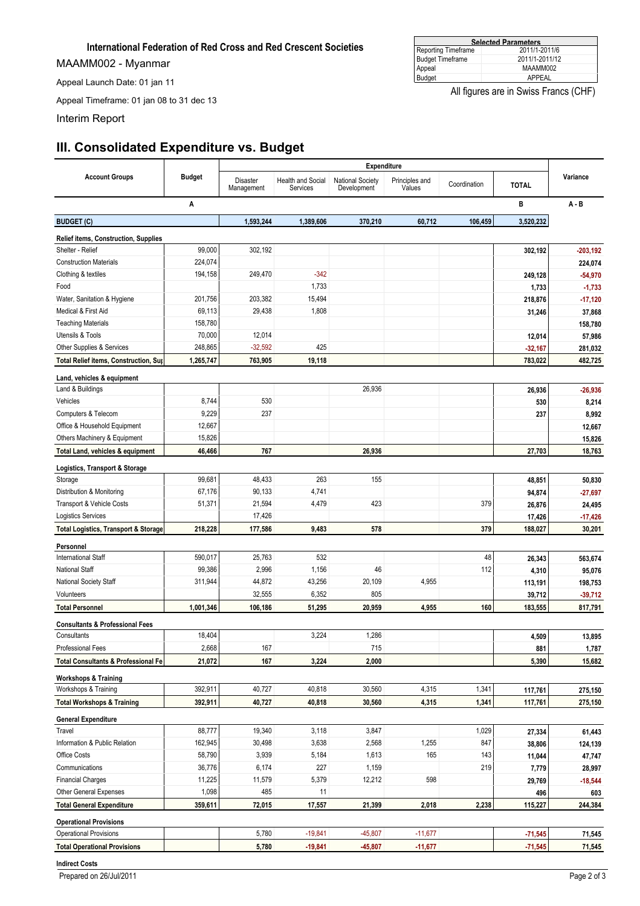#### **International Federation of Red Cross and Red Crescent Societies**

MAAMM002 - Myanmar

Appeal Launch Date: 01 jan 11

Appeal Timeframe: 01 jan 08 to 31 dec 13

Interim Report

### **III. Consolidated Expenditure vs. Budget**

|                                                 |               | <b>Expenditure</b>     |                                      |                                        |                          |              |              |            |
|-------------------------------------------------|---------------|------------------------|--------------------------------------|----------------------------------------|--------------------------|--------------|--------------|------------|
| <b>Account Groups</b>                           | <b>Budget</b> | Disaster<br>Management | <b>Health and Social</b><br>Services | <b>National Society</b><br>Development | Principles and<br>Values | Coordination | <b>TOTAL</b> | Variance   |
| Α                                               |               |                        |                                      |                                        |                          |              | в            | $A - B$    |
| <b>BUDGET (C)</b>                               |               | 1,593,244              | 1,389,606                            | 370,210                                | 60,712                   | 106,459      | 3,520,232    |            |
| <b>Relief items, Construction, Supplies</b>     |               |                        |                                      |                                        |                          |              |              |            |
| Shelter - Relief                                | 99,000        | 302,192                |                                      |                                        |                          |              | 302,192      | $-203,192$ |
| <b>Construction Materials</b>                   | 224,074       |                        |                                      |                                        |                          |              |              | 224,074    |
| Clothing & textiles                             | 194,158       | 249,470                | $-342$                               |                                        |                          |              | 249,128      | $-54,970$  |
| Food                                            |               |                        | 1,733                                |                                        |                          |              | 1,733        | $-1,733$   |
| Water, Sanitation & Hygiene                     | 201,756       | 203,382                | 15,494                               |                                        |                          |              | 218,876      | $-17,120$  |
| Medical & First Aid                             | 69,113        | 29,438                 | 1,808                                |                                        |                          |              | 31,246       | 37,868     |
| <b>Teaching Materials</b>                       | 158,780       |                        |                                      |                                        |                          |              |              | 158,780    |
| <b>Utensils &amp; Tools</b>                     | 70,000        | 12,014                 |                                      |                                        |                          |              | 12,014       | 57,986     |
| Other Supplies & Services                       | 248,865       | $-32,592$              | 425                                  |                                        |                          |              | $-32,167$    | 281,032    |
| Total Relief items, Construction, Sup           | 1,265,747     | 763,905                | 19,118                               |                                        |                          |              | 783,022      | 482,725    |
| Land, vehicles & equipment                      |               |                        |                                      |                                        |                          |              |              |            |
| Land & Buildings                                |               |                        |                                      | 26,936                                 |                          |              | 26,936       | $-26,936$  |
| Vehicles                                        | 8,744         | 530                    |                                      |                                        |                          |              | 530          | 8,214      |
| Computers & Telecom                             | 9,229         | 237                    |                                      |                                        |                          |              | 237          | 8,992      |
| Office & Household Equipment                    | 12,667        |                        |                                      |                                        |                          |              |              | 12,667     |
| Others Machinery & Equipment                    | 15,826        |                        |                                      |                                        |                          |              |              | 15,826     |
| Total Land, vehicles & equipment                | 46,466        | 767                    |                                      | 26,936                                 |                          |              | 27,703       | 18,763     |
| Logistics, Transport & Storage                  |               |                        |                                      |                                        |                          |              |              |            |
| Storage                                         | 99,681        | 48,433                 | 263                                  | 155                                    |                          |              | 48,851       | 50,830     |
| Distribution & Monitoring                       | 67,176        | 90,133                 | 4,741                                |                                        |                          |              | 94,874       | $-27,697$  |
| Transport & Vehicle Costs                       | 51,371        | 21,594                 | 4,479                                | 423                                    |                          | 379          | 26,876       | 24,495     |
| Logistics Services                              |               | 17,426                 |                                      |                                        |                          |              | 17,426       | $-17,426$  |
| <b>Total Logistics, Transport &amp; Storage</b> | 218,228       | 177,586                | 9,483                                | 578                                    |                          | 379          | 188,027      | 30,201     |
| Personnel                                       |               |                        |                                      |                                        |                          |              |              |            |
| <b>International Staff</b>                      | 590,017       | 25,763                 | 532                                  |                                        |                          | 48           | 26,343       | 563,674    |
| <b>National Staff</b>                           | 99,386        | 2,996                  | 1,156                                | 46                                     |                          | 112          | 4,310        | 95,076     |
| National Society Staff                          | 311,944       | 44,872                 | 43,256                               | 20,109                                 | 4,955                    |              | 113,191      | 198,753    |
| Volunteers                                      |               | 32,555                 | 6,352                                | 805                                    |                          |              | 39,712       | $-39,712$  |
| <b>Total Personnel</b>                          | 1,001,346     | 106,186                | 51,295                               | 20,959                                 | 4,955                    | 160          | 183,555      | 817,791    |
| <b>Consultants &amp; Professional Fees</b>      |               |                        |                                      |                                        |                          |              |              |            |
| Consultants                                     | 18,404        |                        | 3,224                                | 1,286                                  |                          |              | 4,509        | 13,895     |
| Professional Fees                               | 2,668         | 167                    |                                      | 715                                    |                          |              | 881          | 1,787      |
| <b>Total Consultants &amp; Professional Fe</b>  | 21,072        | 167                    | 3,224                                | 2,000                                  |                          |              | 5,390        | 15,682     |
| <b>Workshops &amp; Training</b>                 |               |                        |                                      |                                        |                          |              |              |            |
| Workshops & Training                            | 392,911       | 40,727                 | 40,818                               | 30,560                                 | 4,315                    | 1,341        | 117,761      | 275,150    |
| <b>Total Workshops &amp; Training</b>           | 392,911       | 40,727                 | 40,818                               | 30,560                                 | 4,315                    | 1,341        | 117,761      | 275,150    |
| <b>General Expenditure</b>                      |               |                        |                                      |                                        |                          |              |              |            |
| Travel                                          | 88,777        | 19,340                 | 3,118                                | 3,847                                  |                          | 1,029        | 27,334       | 61,443     |
| Information & Public Relation                   | 162,945       | 30,498                 | 3,638                                | 2,568                                  | 1,255                    | 847          | 38,806       | 124,139    |
| Office Costs                                    | 58,790        | 3,939                  | 5,184                                | 1,613                                  | 165                      | 143          | 11,044       | 47,747     |
| Communications                                  | 36,776        | 6,174                  | 227                                  | 1,159                                  |                          | 219          | 7,779        | 28,997     |
| <b>Financial Charges</b>                        | 11,225        | 11,579                 | 5,379                                | 12,212                                 | 598                      |              | 29,769       | $-18,544$  |
| Other General Expenses                          | 1,098         | 485                    | 11                                   |                                        |                          |              | 496          | 603        |
| <b>Total General Expenditure</b>                | 359,611       | 72,015                 | 17,557                               | 21,399                                 | 2,018                    | 2,238        | 115,227      | 244,384    |
| <b>Operational Provisions</b>                   |               |                        |                                      |                                        |                          |              |              |            |
| <b>Operational Provisions</b>                   |               | 5,780                  | $-19,841$                            | $-45,807$                              | $-11,677$                |              | $-71,545$    | 71,545     |
| <b>Total Operational Provisions</b>             |               | 5,780                  | $-19,841$                            | $-45,807$                              | $-11,677$                |              | $-71,545$    | 71,545     |
|                                                 |               |                        |                                      |                                        |                          |              |              |            |

**Indirect Costs**

Prepared on 26/Jul/2011 Page 2 of 3

#### **Selected Parameters** Reporting Timeframe 2011/1-2011/6 Budget Timeframe 2011/1-2011/12 Appeal MAAMM002 Appeal MAAMMOO<br>Budget APPEAL

All figures are in Swiss Francs (CHF)